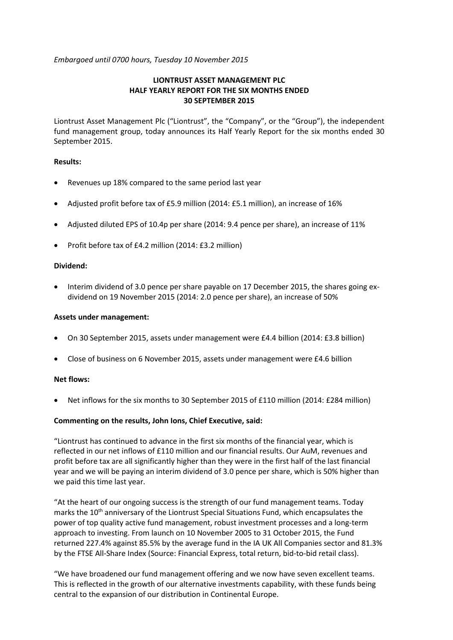*Embargoed until 0700 hours, Tuesday 10 November 2015*

# **LIONTRUST ASSET MANAGEMENT PLC HALF YEARLY REPORT FOR THE SIX MONTHS ENDED 30 SEPTEMBER 2015**

Liontrust Asset Management Plc ("Liontrust", the "Company", or the "Group"), the independent fund management group, today announces its Half Yearly Report for the six months ended 30 September 2015.

## **Results:**

- Revenues up 18% compared to the same period last year
- Adjusted profit before tax of £5.9 million (2014: £5.1 million), an increase of 16%
- Adjusted diluted EPS of 10.4p per share (2014: 9.4 pence per share), an increase of 11%
- Profit before tax of £4.2 million (2014: £3.2 million)

### **Dividend:**

• Interim dividend of 3.0 pence per share payable on 17 December 2015, the shares going exdividend on 19 November 2015 (2014: 2.0 pence per share), an increase of 50%

### **Assets under management:**

- On 30 September 2015, assets under management were £4.4 billion (2014: £3.8 billion)
- Close of business on 6 November 2015, assets under management were £4.6 billion

## **Net flows:**

• Net inflows for the six months to 30 September 2015 of £110 million (2014: £284 million)

### **Commenting on the results, John Ions, Chief Executive, said:**

"Liontrust has continued to advance in the first six months of the financial year, which is reflected in our net inflows of £110 million and our financial results. Our AuM, revenues and profit before tax are all significantly higher than they were in the first half of the last financial year and we will be paying an interim dividend of 3.0 pence per share, which is 50% higher than we paid this time last year.

"At the heart of our ongoing success is the strength of our fund management teams. Today marks the 10<sup>th</sup> anniversary of the Liontrust Special Situations Fund, which encapsulates the power of top quality active fund management, robust investment processes and a long-term approach to investing. From launch on 10 November 2005 to 31 October 2015, the Fund returned 227.4% against 85.5% by the average fund in the IA UK All Companies sector and 81.3% by the FTSE All-Share Index (Source: Financial Express, total return, bid-to-bid retail class).

"We have broadened our fund management offering and we now have seven excellent teams. This is reflected in the growth of our alternative investments capability, with these funds being central to the expansion of our distribution in Continental Europe.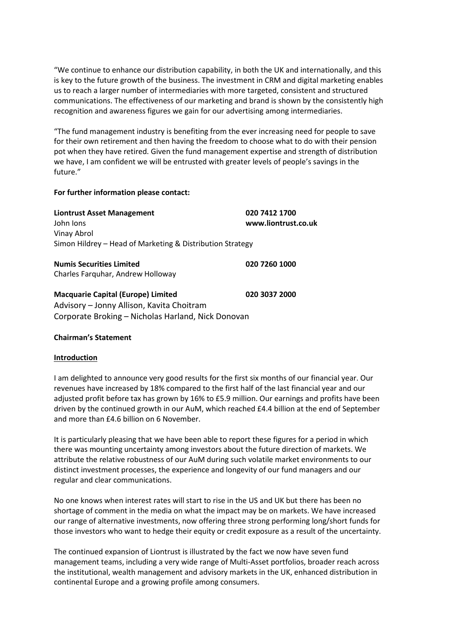"We continue to enhance our distribution capability, in both the UK and internationally, and this is key to the future growth of the business. The investment in CRM and digital marketing enables us to reach a larger number of intermediaries with more targeted, consistent and structured communications. The effectiveness of our marketing and brand is shown by the consistently high recognition and awareness figures we gain for our advertising among intermediaries.

"The fund management industry is benefiting from the ever increasing need for people to save for their own retirement and then having the freedom to choose what to do with their pension pot when they have retired. Given the fund management expertise and strength of distribution we have, I am confident we will be entrusted with greater levels of people's savings in the future."

## **For further information please contact:**

| <b>Liontrust Asset Management</b><br>John Jons            | 020 7412 1700<br>www.liontrust.co.uk |
|-----------------------------------------------------------|--------------------------------------|
| Vinay Abrol                                               |                                      |
| Simon Hildrey – Head of Marketing & Distribution Strategy |                                      |
| <b>Numis Securities Limited</b>                           | 020 7260 1000                        |
| Charles Farguhar, Andrew Holloway                         |                                      |
| <b>Macquarie Capital (Europe) Limited</b>                 | 020 3037 2000                        |
| Advisory – Jonny Allison, Kavita Choitram                 |                                      |
| Corporate Broking - Nicholas Harland, Nick Donovan        |                                      |

## **Chairman's Statement**

### **Introduction**

I am delighted to announce very good results for the first six months of our financial year. Our revenues have increased by 18% compared to the first half of the last financial year and our adjusted profit before tax has grown by 16% to £5.9 million. Our earnings and profits have been driven by the continued growth in our AuM, which reached £4.4 billion at the end of September and more than £4.6 billion on 6 November.

It is particularly pleasing that we have been able to report these figures for a period in which there was mounting uncertainty among investors about the future direction of markets. We attribute the relative robustness of our AuM during such volatile market environments to our distinct investment processes, the experience and longevity of our fund managers and our regular and clear communications.

No one knows when interest rates will start to rise in the US and UK but there has been no shortage of comment in the media on what the impact may be on markets. We have increased our range of alternative investments, now offering three strong performing long/short funds for those investors who want to hedge their equity or credit exposure as a result of the uncertainty.

The continued expansion of Liontrust is illustrated by the fact we now have seven fund management teams, including a very wide range of Multi-Asset portfolios, broader reach across the institutional, wealth management and advisory markets in the UK, enhanced distribution in continental Europe and a growing profile among consumers.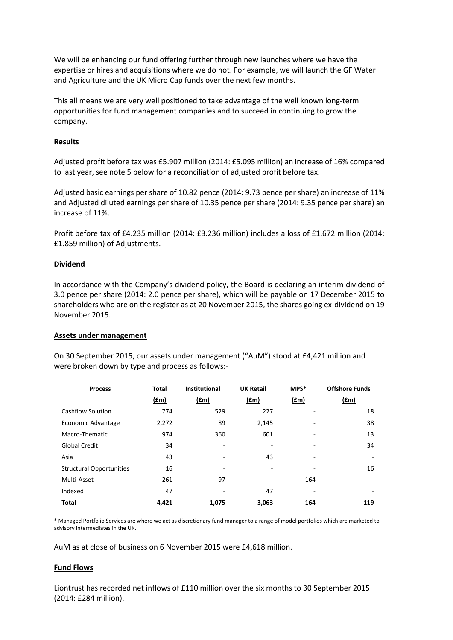We will be enhancing our fund offering further through new launches where we have the expertise or hires and acquisitions where we do not. For example, we will launch the GF Water and Agriculture and the UK Micro Cap funds over the next few months.

This all means we are very well positioned to take advantage of the well known long-term opportunities for fund management companies and to succeed in continuing to grow the company.

## **Results**

Adjusted profit before tax was £5.907 million (2014: £5.095 million) an increase of 16% compared to last year, see note 5 below for a reconciliation of adjusted profit before tax.

Adjusted basic earnings per share of 10.82 pence (2014: 9.73 pence per share) an increase of 11% and Adjusted diluted earnings per share of 10.35 pence per share (2014: 9.35 pence per share) an increase of 11%.

Profit before tax of £4.235 million (2014: £3.236 million) includes a loss of £1.672 million (2014: £1.859 million) of Adjustments.

### **Dividend**

In accordance with the Company's dividend policy, the Board is declaring an interim dividend of 3.0 pence per share (2014: 2.0 pence per share), which will be payable on 17 December 2015 to shareholders who are on the register as at 20 November 2015, the shares going ex-dividend on 19 November 2015.

### **Assets under management**

On 30 September 2015, our assets under management ("AuM") stood at £4,421 million and were broken down by type and process as follows:-

| <b>Process</b>                  | Total         | <b>Institutional</b> | <b>UK Retail</b>         | MPS*    | <b>Offshore Funds</b> |
|---------------------------------|---------------|----------------------|--------------------------|---------|-----------------------|
|                                 | $(\text{fm})$ | $(\text{fm})$        | $(\text{fm})$            | $(f_m)$ | $(f_m)$               |
| <b>Cashflow Solution</b>        | 774           | 529                  | 227                      |         | 18                    |
| Economic Advantage              | 2,272         | 89                   | 2,145                    |         | 38                    |
| Macro-Thematic                  | 974           | 360                  | 601                      | -       | 13                    |
| <b>Global Credit</b>            | 34            | ٠                    | $\overline{\phantom{a}}$ | ۰       | 34                    |
| Asia                            | 43            |                      | 43                       |         |                       |
| <b>Structural Opportunities</b> | 16            |                      |                          |         | 16                    |
| Multi-Asset                     | 261           | 97                   | ۰                        | 164     | ٠                     |
| Indexed                         | 47            |                      | 47                       | -       |                       |
| <b>Total</b>                    | 4,421         | 1,075                | 3,063                    | 164     | 119                   |

\* Managed Portfolio Services are where we act as discretionary fund manager to a range of model portfolios which are marketed to advisory intermediates in the UK.

AuM as at close of business on 6 November 2015 were £4,618 million.

### **Fund Flows**

Liontrust has recorded net inflows of £110 million over the six months to 30 September 2015 (2014: £284 million).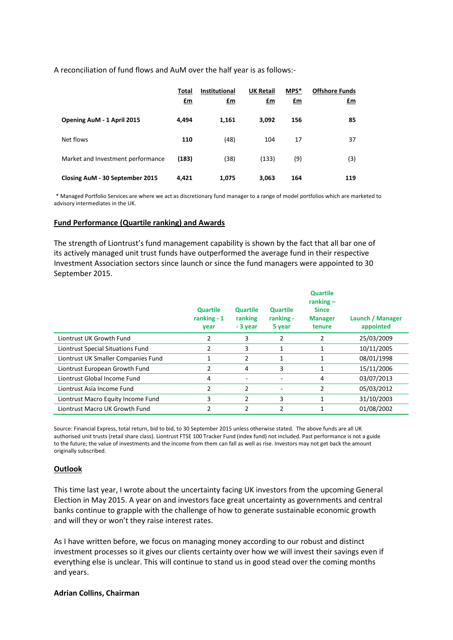A reconciliation of fund flows and AuM over the half year is as follows:-

|                                   | <b>Total</b><br>$fm$ | <b>Institutional</b><br><u>£m</u> | <b>UK Retail</b><br><u>£m</u> | MPS*<br>£m | <b>Offshore Funds</b><br>£m |
|-----------------------------------|----------------------|-----------------------------------|-------------------------------|------------|-----------------------------|
| Opening AuM - 1 April 2015        | 4,494                | 1,161                             | 3,092                         | 156        | 85                          |
| Net flows                         | 110                  | (48)                              | 104                           | 17         | 37                          |
| Market and Investment performance | (183)                | (38)                              | (133)                         | (9)        | (3)                         |
| Closing AuM - 30 September 2015   | 4,421                | 1,075                             | 3,063                         | 164        | 119                         |

\* Managed Portfolio Services are where we act as discretionary fund manager to a range of model portfolios which are marketed to advisory intermediates in the UK.

### **Fund Performance (Quartile ranking) and Awards**

The strength of Liontrust's fund management capability is shown by the fact that all bar one of its actively managed unit trust funds have outperformed the average fund in their respective Investment Association sectors since launch or since the fund managers were appointed to 30 September 2015.

|                                     | <b>Quartile</b><br>ranking $-1$<br>vear | <b>Quartile</b><br>ranking<br>- 3 year | <b>Quartile</b><br>ranking -<br>5 year | <b>Quartile</b><br>ranking $-$<br><b>Since</b><br><b>Manager</b><br>tenure | Launch / Manager<br>appointed |
|-------------------------------------|-----------------------------------------|----------------------------------------|----------------------------------------|----------------------------------------------------------------------------|-------------------------------|
| Liontrust UK Growth Fund            |                                         | 3                                      | 2                                      | 2                                                                          | 25/03/2009                    |
| Liontrust Special Situations Fund   | 2                                       | 3                                      | 1                                      | 1                                                                          | 10/11/2005                    |
| Liontrust UK Smaller Companies Fund | 1                                       | 2                                      | 1                                      | 1                                                                          | 08/01/1998                    |
| Liontrust European Growth Fund      |                                         | 4                                      | 3                                      | 1                                                                          | 15/11/2006                    |
| Liontrust Global Income Fund        | 4                                       |                                        |                                        | 4                                                                          | 03/07/2013                    |
| Liontrust Asia Income Fund          |                                         | 2                                      |                                        |                                                                            | 05/03/2012                    |
| Liontrust Macro Equity Income Fund  | 3                                       | 2                                      | 3                                      | 1                                                                          | 31/10/2003                    |
| Liontrust Macro UK Growth Fund      |                                         |                                        |                                        |                                                                            | 01/08/2002                    |

Source: Financial Express, total return, bid to bid, to 30 September 2015 unless otherwise stated. The above funds are all UK authorised unit trusts (retail share class). Liontrust FTSE 100 Tracker Fund (index fund) not included. Past performance is not a guide to the future; the value of investments and the income from them can fall as well as rise. Investors may not get back the amount originally subscribed.

## **Outlook**

This time last year, I wrote about the uncertainty facing UK investors from the upcoming General Election in May 2015. A year on and investors face great uncertainty as governments and central banks continue to grapple with the challenge of how to generate sustainable economic growth and will they or won't they raise interest rates.

As I have written before, we focus on managing money according to our robust and distinct investment processes so it gives our clients certainty over how we will invest their savings even if everything else is unclear. This will continue to stand us in good stead over the coming months and years.

### **Adrian Collins, Chairman**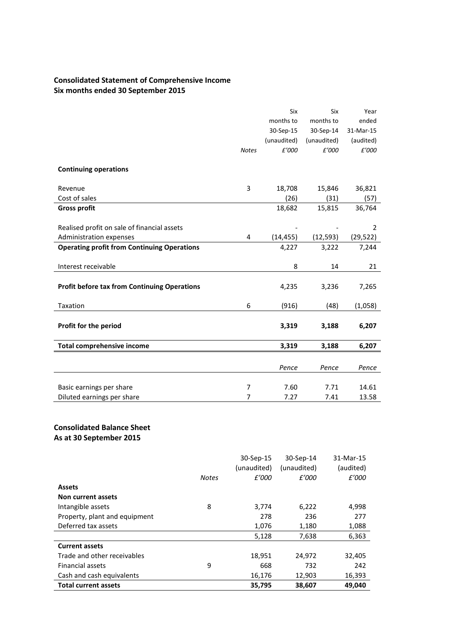# **Consolidated Statement of Comprehensive Income Six months ended 30 September 2015**

|                                                     |                | Six         | Six         | Year           |
|-----------------------------------------------------|----------------|-------------|-------------|----------------|
|                                                     |                | months to   | months to   | ended          |
|                                                     |                | 30-Sep-15   | 30-Sep-14   | 31-Mar-15      |
|                                                     |                | (unaudited) | (unaudited) | (audited)      |
|                                                     | <b>Notes</b>   | £'000       | £'000       | £'000          |
|                                                     |                |             |             |                |
| <b>Continuing operations</b>                        |                |             |             |                |
| Revenue                                             | 3              | 18,708      | 15,846      | 36,821         |
| Cost of sales                                       |                | (26)        | (31)        | (57)           |
| <b>Gross profit</b>                                 |                | 18,682      | 15,815      | 36,764         |
|                                                     |                |             |             |                |
| Realised profit on sale of financial assets         |                |             |             | $\overline{2}$ |
| Administration expenses                             | 4              | (14, 455)   | (12, 593)   | (29, 522)      |
| <b>Operating profit from Continuing Operations</b>  |                | 4,227       | 3,222       | 7,244          |
|                                                     |                |             |             |                |
| Interest receivable                                 |                | 8           | 14          | 21             |
| <b>Profit before tax from Continuing Operations</b> |                | 4,235       | 3,236       | 7,265          |
| Taxation                                            | 6              | (916)       | (48)        | (1,058)        |
| Profit for the period                               |                | 3,319       | 3,188       | 6,207          |
| <b>Total comprehensive income</b>                   |                | 3,319       | 3,188       | 6,207          |
|                                                     |                |             |             |                |
|                                                     |                | Pence       | Pence       | Pence          |
|                                                     |                |             |             |                |
| Basic earnings per share                            | $\overline{7}$ | 7.60        | 7.71        | 14.61          |
| Diluted earnings per share                          | 7              | 7.27        | 7.41        | 13.58          |

# **Consolidated Balance Sheet As at 30 September 2015**

|                               |              | (unaudited) | (unaudited) | (audited) |
|-------------------------------|--------------|-------------|-------------|-----------|
|                               | <b>Notes</b> | £'000       | £'000       | £'000     |
| <b>Assets</b>                 |              |             |             |           |
| Non current assets            |              |             |             |           |
| Intangible assets             | 8            | 3,774       | 6,222       | 4,998     |
| Property, plant and equipment |              | 278         | 236         | 277       |
| Deferred tax assets           |              | 1,076       | 1,180       | 1,088     |
|                               |              | 5,128       | 7,638       | 6,363     |
| <b>Current assets</b>         |              |             |             |           |
| Trade and other receivables   |              | 18,951      | 24,972      | 32,405    |
| <b>Financial assets</b>       | 9            | 668         | 732         | 242       |
| Cash and cash equivalents     |              | 16,176      | 12,903      | 16,393    |
| <b>Total current assets</b>   |              | 35,795      | 38,607      | 49,040    |

30-Sep-15 30-Sep-14 31-Mar-15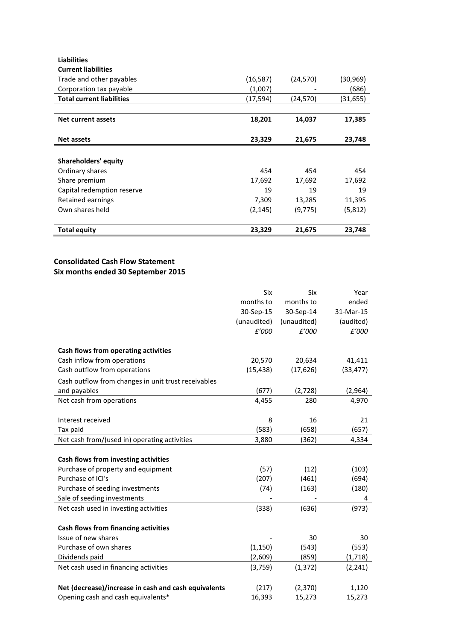| <b>Liabilities</b>               |           |           |          |
|----------------------------------|-----------|-----------|----------|
| <b>Current liabilities</b>       |           |           |          |
| Trade and other payables         | (16, 587) | (24, 570) | (30,969) |
| Corporation tax payable          | (1,007)   |           | (686)    |
| <b>Total current liabilities</b> | (17,594)  | (24,570)  | (31,655) |
|                                  |           |           |          |
| Net current assets               | 18,201    | 14,037    | 17,385   |
|                                  |           |           |          |
| <b>Net assets</b>                | 23,329    | 21,675    | 23,748   |
|                                  |           |           |          |
| Shareholders' equity             |           |           |          |
| Ordinary shares                  | 454       | 454       | 454      |
| Share premium                    | 17,692    | 17,692    | 17,692   |
| Capital redemption reserve       | 19        | 19        | 19       |
| Retained earnings                | 7,309     | 13,285    | 11,395   |
| Own shares held                  | (2, 145)  | (9, 775)  | (5, 812) |
| <b>Total equity</b>              | 23,329    | 21,675    | 23,748   |

# **Consolidated Cash Flow Statement Six months ended 30 September 2015**

|                                                      | Six           | Six         | Year      |
|------------------------------------------------------|---------------|-------------|-----------|
|                                                      | months to     | months to   | ended     |
|                                                      | 30-Sep-15     | 30-Sep-14   | 31-Mar-15 |
|                                                      | (unaudited)   | (unaudited) | (audited) |
|                                                      | $\pounds'000$ | £'000       | £'000     |
| Cash flows from operating activities                 |               |             |           |
| Cash inflow from operations                          | 20,570        | 20,634      | 41,411    |
| Cash outflow from operations                         | (15, 438)     | (17, 626)   | (33, 477) |
| Cash outflow from changes in unit trust receivables  |               |             |           |
| and payables                                         | (677)         | (2, 728)    | (2,964)   |
| Net cash from operations                             | 4,455         | 280         | 4,970     |
|                                                      |               |             |           |
| Interest received                                    | 8             | 16          | 21        |
| Tax paid                                             | (583)         | (658)       | (657)     |
| Net cash from/(used in) operating activities         | 3,880         | (362)       | 4,334     |
|                                                      |               |             |           |
| Cash flows from investing activities                 |               |             |           |
| Purchase of property and equipment                   | (57)          | (12)        | (103)     |
| Purchase of ICI's                                    | (207)         | (461)       | (694)     |
| Purchase of seeding investments                      | (74)          | (163)       | (180)     |
| Sale of seeding investments                          |               |             | 4         |
| Net cash used in investing activities                | (338)         | (636)       | (973)     |
|                                                      |               |             |           |
| Cash flows from financing activities                 |               |             |           |
| Issue of new shares                                  |               | 30          | 30        |
| Purchase of own shares                               | (1, 150)      | (543)       | (553)     |
| Dividends paid                                       | (2,609)       | (859)       | (1,718)   |
| Net cash used in financing activities                | (3,759)       | (1, 372)    | (2, 241)  |
|                                                      |               |             |           |
| Net (decrease)/increase in cash and cash equivalents | (217)         | (2, 370)    | 1,120     |
| Opening cash and cash equivalents*                   | 16,393        | 15,273      | 15,273    |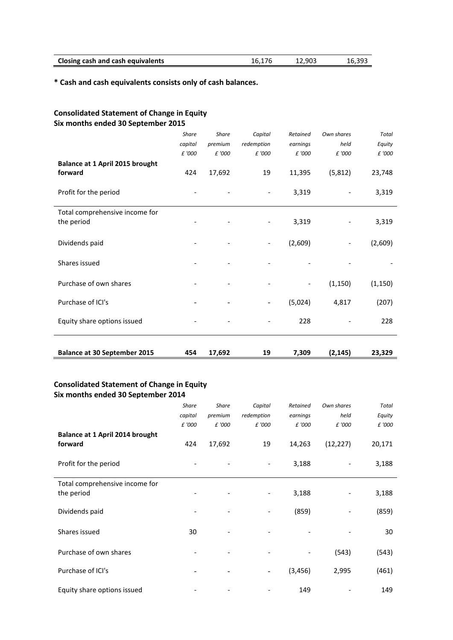| <b>Closing cash and cash equivalents</b> | 16.176 | 12,903 | 16,393 |
|------------------------------------------|--------|--------|--------|
|                                          |        |        |        |

**\* Cash and cash equivalents consists only of cash balances.**

# **Consolidated Statement of Change in Equity Six months ended 30 September 2015**

|                                              | <b>Share</b><br>capital<br>£ '000 | <b>Share</b><br>premium<br>£ '000 | Capital<br>redemption<br>£ '000 | Retained<br>earnings<br>£ '000 | Own shares<br>held<br>£ '000 | <b>Total</b><br>Equity<br>£ '000 |
|----------------------------------------------|-----------------------------------|-----------------------------------|---------------------------------|--------------------------------|------------------------------|----------------------------------|
| Balance at 1 April 2015 brought<br>forward   | 424                               | 17,692                            | 19                              | 11,395                         | (5,812)                      | 23,748                           |
| Profit for the period                        |                                   |                                   |                                 | 3,319                          |                              | 3,319                            |
| Total comprehensive income for<br>the period |                                   |                                   |                                 | 3,319                          |                              | 3,319                            |
| Dividends paid                               |                                   |                                   |                                 | (2,609)                        |                              | (2,609)                          |
| Shares issued                                |                                   |                                   |                                 |                                |                              |                                  |
| Purchase of own shares                       |                                   |                                   |                                 |                                | (1, 150)                     | (1, 150)                         |
| Purchase of ICI's                            |                                   |                                   |                                 | (5,024)                        | 4,817                        | (207)                            |
| Equity share options issued                  |                                   |                                   |                                 | 228                            |                              | 228                              |
| <b>Balance at 30 September 2015</b>          | 454                               | 17,692                            | 19                              | 7,309                          | (2, 145)                     | 23,329                           |

# **Consolidated Statement of Change in Equity Six months ended 30 September 2014**

|                                              | <b>Share</b> | <b>Share</b> | Capital                  | Retained | Own shares | <b>Total</b> |
|----------------------------------------------|--------------|--------------|--------------------------|----------|------------|--------------|
|                                              | capital      | premium      | redemption               | earnings | held       | Equity       |
|                                              | £ '000       | £ '000       | £ '000                   | £ '000   | £ '000     | £ '000       |
| Balance at 1 April 2014 brought<br>forward   | 424          | 17,692       | 19                       | 14,263   | (12, 227)  | 20,171       |
| Profit for the period                        |              |              |                          | 3,188    |            | 3,188        |
| Total comprehensive income for<br>the period |              |              | $\overline{\phantom{a}}$ | 3,188    |            | 3,188        |
| Dividends paid                               |              |              | $\overline{\phantom{0}}$ | (859)    |            | (859)        |
| Shares issued                                | 30           |              |                          |          |            | 30           |
| Purchase of own shares                       |              |              |                          |          | (543)      | (543)        |
| Purchase of ICI's                            |              |              | Ξ.                       | (3, 456) | 2,995      | (461)        |
| Equity share options issued                  |              |              |                          | 149      |            | 149          |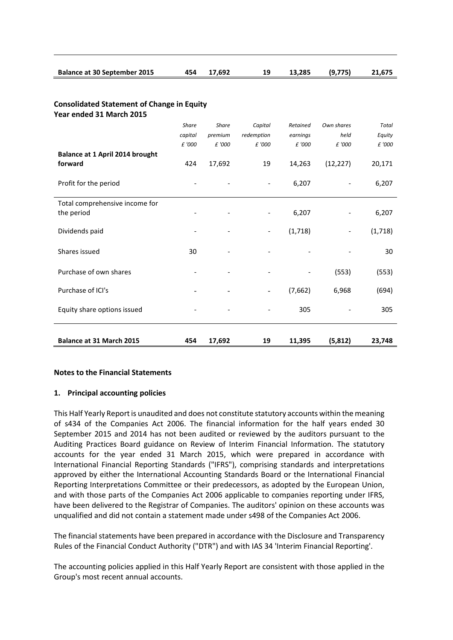| <b>Balance at 30 September 2015</b> | 454 17,692 | 13,285 (9,775) | 21,675 |
|-------------------------------------|------------|----------------|--------|

#### **Consolidated Statement of Change in Equity Year ended 31 March 2015**

| <b>Balance at 31 March 2015</b>              | 454          | 17,692       | 19                       | 11,395   | (5, 812)   | 23,748       |
|----------------------------------------------|--------------|--------------|--------------------------|----------|------------|--------------|
| Equity share options issued                  |              |              |                          | 305      |            | 305          |
| Purchase of ICI's                            |              |              |                          | (7,662)  | 6,968      | (694)        |
| Purchase of own shares                       |              |              |                          |          | (553)      | (553)        |
| Shares issued                                | 30           |              |                          |          |            | 30           |
| Dividends paid                               |              |              | $\overline{\phantom{a}}$ | (1,718)  | -          | (1, 718)     |
| Total comprehensive income for<br>the period |              |              | $\overline{\phantom{a}}$ | 6,207    |            | 6,207        |
| Profit for the period                        |              |              |                          | 6,207    |            | 6,207        |
| Balance at 1 April 2014 brought<br>forward   | 424          | 17,692       | 19                       | 14,263   | (12, 227)  | 20,171       |
|                                              | £ '000       | £ '000       | £ '000                   | £ '000   | £ '000     | £ '000       |
|                                              | capital      | premium      | redemption               | earnings | held       | Equity       |
|                                              | <b>Share</b> | <b>Share</b> | Capital                  | Retained | Own shares | <b>Total</b> |

## **Notes to the Financial Statements**

# **1. Principal accounting policies**

This Half Yearly Report is unaudited and does not constitute statutory accounts within the meaning of s434 of the Companies Act 2006. The financial information for the half years ended 30 September 2015 and 2014 has not been audited or reviewed by the auditors pursuant to the Auditing Practices Board guidance on Review of Interim Financial Information. The statutory accounts for the year ended 31 March 2015, which were prepared in accordance with International Financial Reporting Standards ("IFRS"), comprising standards and interpretations approved by either the International Accounting Standards Board or the International Financial Reporting Interpretations Committee or their predecessors, as adopted by the European Union, and with those parts of the Companies Act 2006 applicable to companies reporting under IFRS, have been delivered to the Registrar of Companies. The auditors' opinion on these accounts was unqualified and did not contain a statement made under s498 of the Companies Act 2006.

The financial statements have been prepared in accordance with the Disclosure and Transparency Rules of the Financial Conduct Authority ("DTR") and with IAS 34 'Interim Financial Reporting'.

The accounting policies applied in this Half Yearly Report are consistent with those applied in the Group's most recent annual accounts.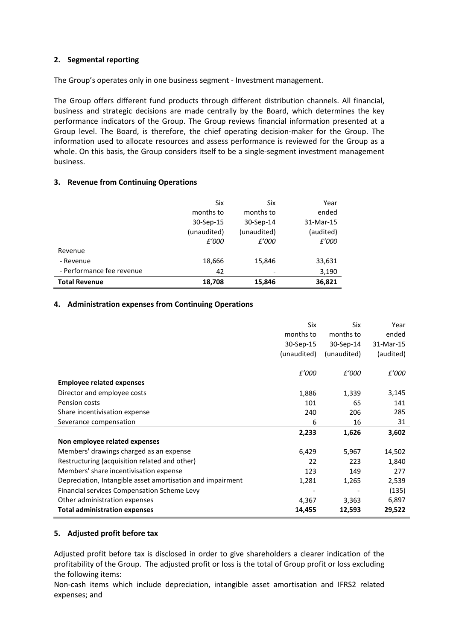# **2. Segmental reporting**

The Group's operates only in one business segment - Investment management.

The Group offers different fund products through different distribution channels. All financial, business and strategic decisions are made centrally by the Board, which determines the key performance indicators of the Group. The Group reviews financial information presented at a Group level. The Board, is therefore, the chief operating decision-maker for the Group. The information used to allocate resources and assess performance is reviewed for the Group as a whole. On this basis, the Group considers itself to be a single-segment investment management business.

# **3. Revenue from Continuing Operations**

|                           | Six         | Six         | Year      |
|---------------------------|-------------|-------------|-----------|
|                           | months to   | months to   | ended     |
|                           | 30-Sep-15   | 30-Sep-14   | 31-Mar-15 |
|                           | (unaudited) | (unaudited) | (audited) |
|                           | £'000       | £'000       | £'000     |
| Revenue                   |             |             |           |
| - Revenue                 | 18,666      | 15,846      | 33,631    |
| - Performance fee revenue | 42          |             | 3,190     |
| <b>Total Revenue</b>      | 18,708      | 15,846      | 36,821    |

# **4. Administration expenses from Continuing Operations**

|                                                            | Six         | Six         | Year      |
|------------------------------------------------------------|-------------|-------------|-----------|
|                                                            | months to   | months to   | ended     |
|                                                            | 30-Sep-15   | 30-Sep-14   | 31-Mar-15 |
|                                                            | (unaudited) | (unaudited) | (audited) |
|                                                            |             |             |           |
|                                                            | £'000       | £'000       | £'000     |
| <b>Employee related expenses</b>                           |             |             |           |
| Director and employee costs                                | 1,886       | 1,339       | 3,145     |
| Pension costs                                              | 101         | 65          | 141       |
| Share incentivisation expense                              | 240         | 206         | 285       |
| Severance compensation                                     | 6           | 16          | 31        |
|                                                            | 2,233       | 1,626       | 3,602     |
| Non employee related expenses                              |             |             |           |
| Members' drawings charged as an expense                    | 6,429       | 5,967       | 14,502    |
| Restructuring (acquisition related and other)              | 22          | 223         | 1,840     |
| Members' share incentivisation expense                     | 123         | 149         | 277       |
| Depreciation, Intangible asset amortisation and impairment | 1,281       | 1,265       | 2,539     |
| Financial services Compensation Scheme Levy                |             |             | (135)     |
| Other administration expenses                              | 4,367       | 3,363       | 6,897     |
| <b>Total administration expenses</b>                       | 14,455      | 12,593      | 29,522    |

# **5. Adjusted profit before tax**

Adjusted profit before tax is disclosed in order to give shareholders a clearer indication of the profitability of the Group. The adjusted profit or loss is the total of Group profit or loss excluding the following items:

Non-cash items which include depreciation, intangible asset amortisation and IFRS2 related expenses; and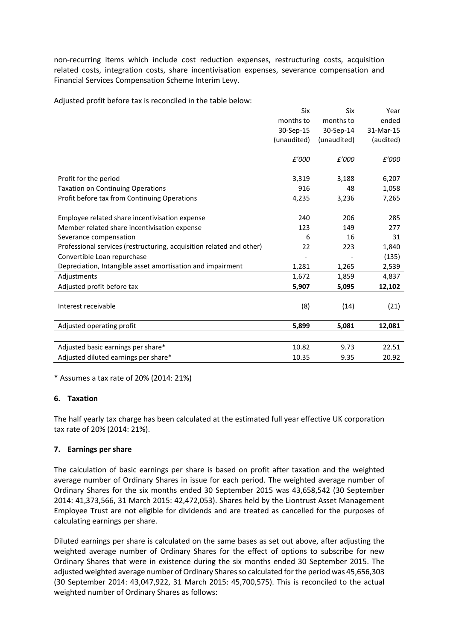non-recurring items which include cost reduction expenses, restructuring costs, acquisition related costs, integration costs, share incentivisation expenses, severance compensation and Financial Services Compensation Scheme Interim Levy.

Adjusted profit before tax is reconciled in the table below:

|                                                                      | Six         | Six         | Year      |
|----------------------------------------------------------------------|-------------|-------------|-----------|
|                                                                      | months to   | months to   | ended     |
|                                                                      | 30-Sep-15   | 30-Sep-14   | 31-Mar-15 |
|                                                                      | (unaudited) | (unaudited) | (audited) |
|                                                                      |             |             |           |
|                                                                      | £'000       | £'000       | £'000     |
|                                                                      |             |             |           |
| Profit for the period                                                | 3,319       | 3,188       | 6,207     |
| <b>Taxation on Continuing Operations</b>                             | 916         | 48          | 1,058     |
| Profit before tax from Continuing Operations                         | 4,235       | 3,236       | 7,265     |
|                                                                      |             |             |           |
| Employee related share incentivisation expense                       | 240         | 206         | 285       |
| Member related share incentivisation expense                         | 123         | 149         | 277       |
| Severance compensation                                               | 6           | 16          | 31        |
| Professional services (restructuring, acquisition related and other) | 22          | 223         | 1,840     |
| Convertible Loan repurchase                                          |             |             | (135)     |
| Depreciation, Intangible asset amortisation and impairment           | 1,281       | 1,265       | 2,539     |
| Adjustments                                                          | 1,672       | 1,859       | 4,837     |
| Adjusted profit before tax                                           | 5,907       | 5,095       | 12,102    |
|                                                                      |             |             |           |
| Interest receivable                                                  | (8)         | (14)        | (21)      |
|                                                                      |             |             |           |
| Adjusted operating profit                                            | 5,899       | 5,081       | 12,081    |
|                                                                      |             |             |           |
| Adjusted basic earnings per share*                                   | 10.82       | 9.73        | 22.51     |
| Adjusted diluted earnings per share*                                 | 10.35       | 9.35        | 20.92     |

\* Assumes a tax rate of 20% (2014: 21%)

# **6. Taxation**

The half yearly tax charge has been calculated at the estimated full year effective UK corporation tax rate of 20% (2014: 21%).

# **7. Earnings per share**

The calculation of basic earnings per share is based on profit after taxation and the weighted average number of Ordinary Shares in issue for each period. The weighted average number of Ordinary Shares for the six months ended 30 September 2015 was 43,658,542 (30 September 2014: 41,373,566, 31 March 2015: 42,472,053). Shares held by the Liontrust Asset Management Employee Trust are not eligible for dividends and are treated as cancelled for the purposes of calculating earnings per share.

Diluted earnings per share is calculated on the same bases as set out above, after adjusting the weighted average number of Ordinary Shares for the effect of options to subscribe for new Ordinary Shares that were in existence during the six months ended 30 September 2015. The adjusted weighted average number of Ordinary Shares so calculated for the period was 45,656,303 (30 September 2014: 43,047,922, 31 March 2015: 45,700,575). This is reconciled to the actual weighted number of Ordinary Shares as follows: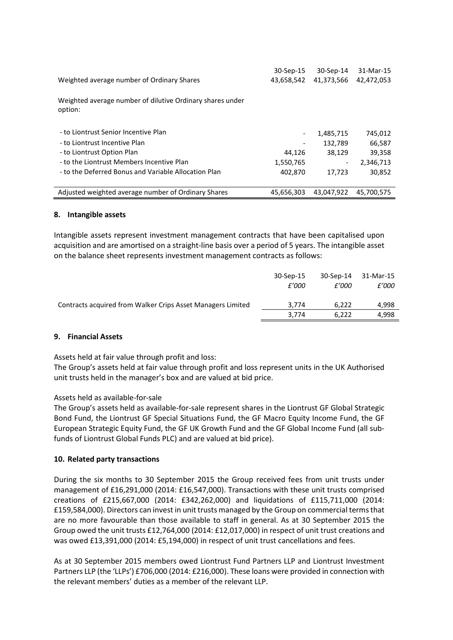| Weighted average number of Ordinary Shares                                                                                                                                                               | 30-Sep-15<br>43,658,542        | 30-Sep-14<br>41,373,566                                              | 31-Mar-15<br>42,472,053                            |
|----------------------------------------------------------------------------------------------------------------------------------------------------------------------------------------------------------|--------------------------------|----------------------------------------------------------------------|----------------------------------------------------|
| Weighted average number of dilutive Ordinary shares under<br>option:                                                                                                                                     |                                |                                                                      |                                                    |
| - to Liontrust Senior Incentive Plan<br>- to Liontrust Incentive Plan<br>- to Liontrust Option Plan<br>- to the Liontrust Members Incentive Plan<br>- to the Deferred Bonus and Variable Allocation Plan | 44,126<br>1,550,765<br>402,870 | 1,485,715<br>132,789<br>38,129<br>$\overline{\phantom{a}}$<br>17,723 | 745,012<br>66,587<br>39,358<br>2,346,713<br>30,852 |
| Adjusted weighted average number of Ordinary Shares                                                                                                                                                      | 45.656.303                     | 43,047,922                                                           | 45.700.575                                         |

# **8. Intangible assets**

Intangible assets represent investment management contracts that have been capitalised upon acquisition and are amortised on a straight-line basis over a period of 5 years. The intangible asset on the balance sheet represents investment management contracts as follows:

|                                                             | 30-Sep-15 | 30-Sep-14 | 31-Mar-15 |
|-------------------------------------------------------------|-----------|-----------|-----------|
|                                                             | £'000     | £'000     | £'000     |
| Contracts acquired from Walker Crips Asset Managers Limited | 3.774     | 6.222     | 4.998     |
|                                                             | 3.774     | 6.222     | 4.998     |
|                                                             |           |           |           |

## **9. Financial Assets**

Assets held at fair value through profit and loss:

The Group's assets held at fair value through profit and loss represent units in the UK Authorised unit trusts held in the manager's box and are valued at bid price.

## Assets held as available-for-sale

The Group's assets held as available-for-sale represent shares in the Liontrust GF Global Strategic Bond Fund, the Liontrust GF Special Situations Fund, the GF Macro Equity Income Fund, the GF European Strategic Equity Fund, the GF UK Growth Fund and the GF Global Income Fund (all subfunds of Liontrust Global Funds PLC) and are valued at bid price).

## **10. Related party transactions**

During the six months to 30 September 2015 the Group received fees from unit trusts under management of £16,291,000 (2014: £16,547,000). Transactions with these unit trusts comprised creations of £215,667,000 (2014: £342,262,000) and liquidations of £115,711,000 (2014: £159,584,000). Directors can invest in unit trusts managed by the Group on commercial terms that are no more favourable than those available to staff in general. As at 30 September 2015 the Group owed the unit trusts £12,764,000 (2014: £12,017,000) in respect of unit trust creations and was owed £13,391,000 (2014: £5,194,000) in respect of unit trust cancellations and fees.

As at 30 September 2015 members owed Liontrust Fund Partners LLP and Liontrust Investment Partners LLP (the 'LLPs') £706,000 (2014: £216,000). These loans were provided in connection with the relevant members' duties as a member of the relevant LLP.